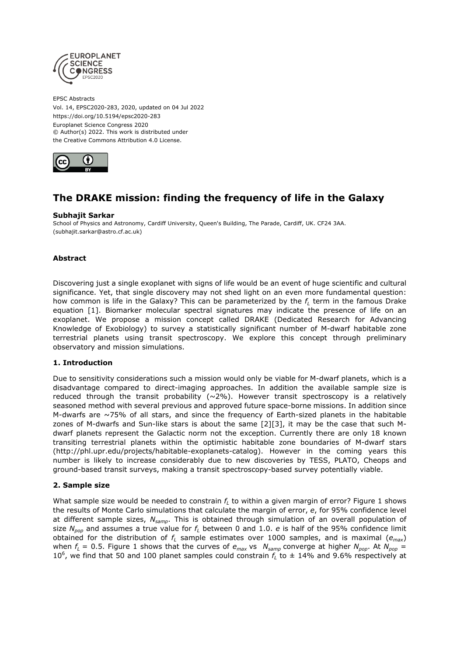

EPSC Abstracts Vol. 14, EPSC2020-283, 2020, updated on 04 Jul 2022 https://doi.org/10.5194/epsc2020-283 Europlanet Science Congress 2020 © Author(s) 2022. This work is distributed under the Creative Commons Attribution 4.0 License.



# **The DRAKE mission: finding the frequency of life in the Galaxy**

#### **Subhajit Sarkar**

School of Physics and Astronomy, Cardiff University, Queen's Building, The Parade, Cardiff, UK. CF24 3AA. (subhajit.sarkar@astro.cf.ac.uk)

## **Abstract**

Discovering just a single exoplanet with signs of life would be an event of huge scientific and cultural significance. Yet, that single discovery may not shed light on an even more fundamental question: how common is life in the Galaxy? This can be parameterized by the *f<sup>L</sup>* term in the famous Drake equation [1]. Biomarker molecular spectral signatures may indicate the presence of life on an exoplanet. We propose a mission concept called DRAKE (Dedicated Research for Advancing Knowledge of Exobiology) to survey a statistically significant number of M-dwarf habitable zone terrestrial planets using transit spectroscopy. We explore this concept through preliminary observatory and mission simulations.

#### **1. Introduction**

Due to sensitivity considerations such a mission would only be viable for M-dwarf planets, which is a disadvantage compared to direct-imaging approaches. In addition the available sample size is reduced through the transit probability ( $\sim$ 2%). However transit spectroscopy is a relatively seasoned method with several previous and approved future space-borne missions. In addition since M-dwarfs are  $\sim$ 75% of all stars, and since the frequency of Earth-sized planets in the habitable zones of M-dwarfs and Sun-like stars is about the same [2][3], it may be the case that such Mdwarf planets represent the Galactic norm not the exception. Currently there are only 18 known transiting terrestrial planets within the optimistic habitable zone boundaries of M-dwarf stars (http://phl.upr.edu/projects/habitable-exoplanets-catalog). However in the coming years this number is likely to increase considerably due to new discoveries by TESS, PLATO, Cheops and ground-based transit surveys, making a transit spectroscopy-based survey potentially viable.

#### **2. Sample size**

What sample size would be needed to constrain *f<sup>L</sup>* to within a given margin of error? Figure 1 shows the results of Monte Carlo simulations that calculate the margin of error, *e*, for 95% confidence level at different sample sizes, *Nsamp*. This is obtained through simulation of an overall population of size  $N_{pop}$  and assumes a true value for  $f<sub>l</sub>$  between 0 and 1.0. *e* is half of the 95% confidence limit obtained for the distribution of *f<sup>L</sup>* sample estimates over 1000 samples, and is maximal (*emax*) when  $f_L = 0.5$ . Figure 1 shows that the curves of  $e_{max}$  vs  $N_{\text{samp}}$  converge at higher  $N_{pop}$ . At  $N_{pop}$ 10<sup>6</sup>, we find that 50 and 100 planet samples could constrain  $f_L$  to  $\pm$  14% and 9.6% respectively at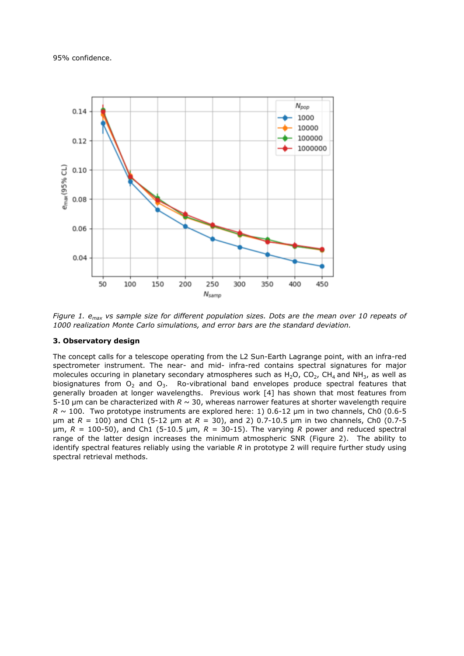95% confidence.



*Figure 1. emax vs sample size for different population sizes. Dots are the mean over 10 repeats of 1000 realization Monte Carlo simulations, and error bars are the standard deviation.*

#### **3. Observatory design**

The concept calls for a telescope operating from the L2 Sun-Earth Lagrange point, with an infra-red spectrometer instrument. The near- and mid- infra-red contains spectral signatures for major molecules occuring in planetary secondary atmospheres such as  $H_2O$ ,  $CO_2$ ,  $CH_4$  and NH<sub>3</sub>, as well as biosignatures from  $O_2$  and  $O_3$ . Ro-vibrational band envelopes produce spectral features that generally broaden at longer wavelengths. Previous work [4] has shown that most features from 5-10 μm can be characterized with *R* ~ 30, whereas narrower features at shorter wavelength require  $R \sim 100$ . Two prototype instruments are explored here: 1) 0.6-12  $\mu$ m in two channels, Ch0 (0.6-5 μm at *R* = 100) and Ch1 (5-12 μm at *R* = 30), and 2) 0.7-10.5 μm in two channels, Ch0 (0.7-5 μm, *R* = 100-50), and Ch1 (5-10.5 μm, *R* = 30-15). The varying *R* power and reduced spectral range of the latter design increases the minimum atmospheric SNR (Figure 2). The ability to identify spectral features reliably using the variable *R* in prototype 2 will require further study using spectral retrieval methods.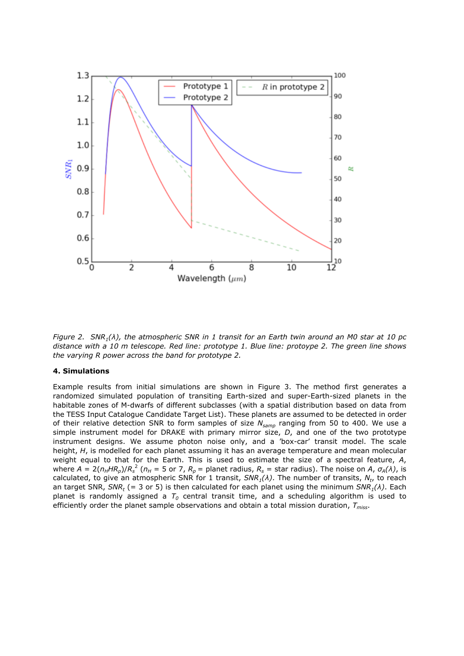

*Figure 2. SNR1(λ), the atmospheric SNR in 1 transit for an Earth twin around an M0 star at 10 pc distance with a 10 m telescope. Red line: prototype 1. Blue line: protoype 2. The green line shows the varying R power across the band for prototype 2.*

## **4. Simulations**

Example results from initial simulations are shown in Figure 3. The method first generates a randomized simulated population of transiting Earth-sized and super-Earth-sized planets in the habitable zones of M-dwarfs of different subclasses (with a spatial distribution based on data from the TESS Input Catalogue Candidate Target List). These planets are assumed to be detected in order of their relative detection SNR to form samples of size *Nsamp* ranging from 50 to 400. We use a simple instrument model for DRAKE with primary mirror size, *D*, and one of the two prototype instrument designs. We assume photon noise only, and a 'box-car' transit model. The scale height, *H*, is modelled for each planet assuming it has an average temperature and mean molecular weight equal to that for the Earth. This is used to estimate the size of a spectral feature, *A*, where  $A = 2(n_HHR_p)/R_s^2$  ( $n_H = 5$  or 7,  $R_p$  = planet radius,  $R_s$  = star radius). The noise on A,  $\sigma_A(\lambda)$ , is calculated, to give an atmospheric SNR for 1 transit, *SNR1(λ)*. The number of transits, *N<sup>t</sup>* , to reach an target SNR, *SNR<sup>t</sup>* (= 3 or 5) is then calculated for each planet using the minimum *SNR1(λ)*. Each planet is randomly assigned a *T<sup>0</sup>* central transit time, and a scheduling algorithm is used to efficiently order the planet sample observations and obtain a total mission duration, *Tmiss*.